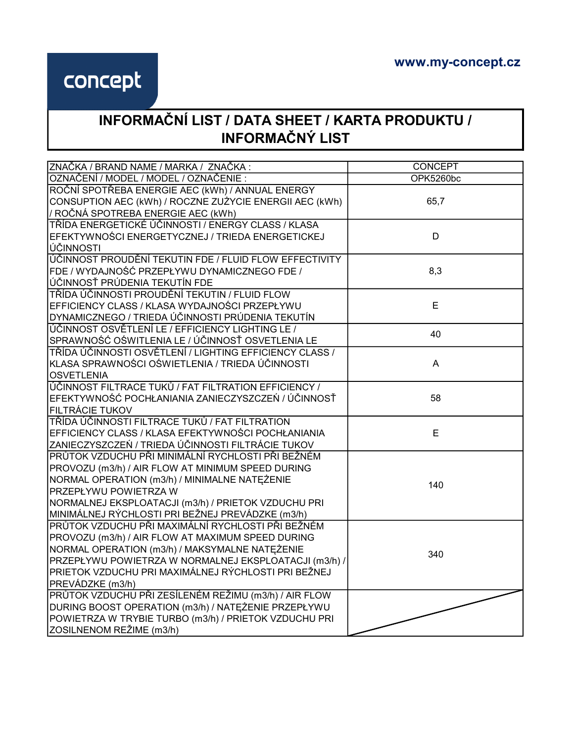## concept

## INFORMAČNÍ LIST / DATA SHEET / KARTA PRODUKTU / INFORMAČNÝ LIST

| ZNAČKA / BRAND NAME / MARKA / ZNAČKA:                   | <b>CONCEPT</b>   |
|---------------------------------------------------------|------------------|
| OZNAČENÍ / MODEL / MODEL / OZNAČENIE :                  | <b>OPK5260bc</b> |
| ROČNÍ SPOTŘEBA ENERGIE AEC (kWh) / ANNUAL ENERGY        |                  |
| CONSUPTION AEC (kWh) / ROCZNE ZUŻYCIE ENERGII AEC (kWh) | 65,7             |
| / ROČNÁ SPOTREBA ENERGIE AEC (kWh)                      |                  |
| TŘÍDA ENERGETICKÉ ÚČINNOSTI / ENERGY CLASS / KLASA      |                  |
| EFEKTYWNOŚCI ENERGETYCZNEJ / TRIEDA ENERGETICKEJ        | D                |
| ÚČINNOSTI                                               |                  |
| ÚČINNOST PROUDĚNÍ TEKUTIN FDE / FLUID FLOW EFFECTIVITY  |                  |
| FDE / WYDAJNOŚĆ PRZEPŁYWU DYNAMICZNEGO FDE /            | 8,3              |
| ÚČINNOSŤ PRÚDENIA TEKUTÍN FDE                           |                  |
| TŘÍDA ÚČINNOSTI PROUDĚNÍ TEKUTIN / FLUID FLOW           |                  |
| EFFICIENCY CLASS / KLASA WYDAJNOŚCI PRZEPŁYWU           | E                |
| DYNAMICZNEGO / TRIEDA ÚČINNOSTI PRÚDENIA TEKUTÍN        |                  |
| ÚČINNOST OSVĚTLENÍ LE / EFFICIENCY LIGHTING LE /        | 40               |
| SPRAWNOŚĆ OŚWITLENIA LE / ÚČINNOSŤ OSVETLENIA LE        |                  |
| TŘÍDA ÚČINNOSTI OSVĚTLENÍ / LIGHTING EFFICIENCY CLASS / |                  |
| KLASA SPRAWNOŚCI OŚWIETLENIA / TRIEDA ÚČINNOSTI         | A                |
| <b>OSVETLENIA</b>                                       |                  |
| ÚČINNOST FILTRACE TUKŮ / FAT FILTRATION EFFICIENCY /    |                  |
| EFEKTYWNOŚĆ POCHŁANIANIA ZANIECZYSZCZEŃ / ÚČINNOSŤ      | 58               |
| FILTRÁCIE TUKOV                                         |                  |
| TŘÍDA ÚČINNOSTI FILTRACE TUKŮ / FAT FILTRATION          |                  |
| EFFICIENCY CLASS / KLASA EFEKTYWNOŚCI POCHŁANIANIA      | E                |
| ZANIECZYSZCZEŃ / TRIEDA ÚČINNOSTI FILTRÁCIE TUKOV       |                  |
| PRŮTOK VZDUCHU PŘI MINIMÁLNÍ RYCHLOSTI PŘI BEŽNÉM       |                  |
| PROVOZU (m3/h) / AIR FLOW AT MINIMUM SPEED DURING       |                  |
| NORMAL OPERATION (m3/h) / MINIMALNE NATĘŻENIE           | 140              |
| PRZEPŁYWU POWIETRZA W                                   |                  |
| NORMALNEJ EKSPLOATACJI (m3/h) / PRIETOK VZDUCHU PRI     |                  |
| MINIMÁLNEJ RÝCHLOSTI PRI BEŽNEJ PREVÁDZKE (m3/h)        |                  |
| PRŮTOK VZDUCHU PŘI MAXIMÁLNÍ RYCHLOSTI PŘI BEŽNÉM       |                  |
| PROVOZU (m3/h) / AIR FLOW AT MAXIMUM SPEED DURING       |                  |
| NORMAL OPERATION (m3/h) / MAKSYMALNE NATEŻENIE          | 340              |
| PRZEPŁYWU POWIETRZA W NORMALNEJ EKSPLOATACJI (m3/h) /   |                  |
| PRIETOK VZDUCHU PRI MAXIMÁLNEJ RÝCHLOSTI PRI BEŽNEJ     |                  |
| PREVÁDZKE (m3/h)                                        |                  |
| PRŮTOK VZDUCHU PŘI ZESÍLENÉM REŽIMU (m3/h) / AIR FLOW   |                  |
| DURING BOOST OPERATION (m3/h) / NATĘŻENIE PRZEPŁYWU     |                  |
| POWIETRZA W TRYBIE TURBO (m3/h) / PRIETOK VZDUCHU PRI   |                  |
| ZOSILNENOM REŽIME (m3/h)                                |                  |